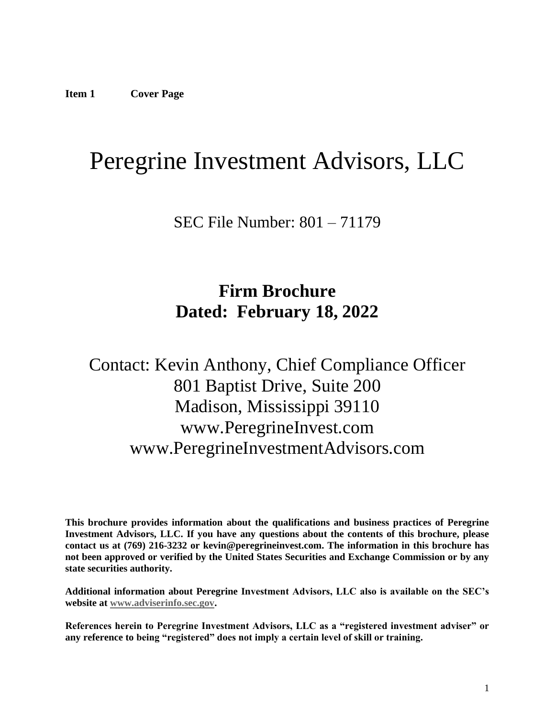# <span id="page-0-0"></span>Peregrine Investment Advisors, LLC

SEC File Number: 801 – 71179

# **Firm Brochure Dated: February 18, 2022**

Contact: Kevin Anthony, Chief Compliance Officer 801 Baptist Drive, Suite 200 Madison, Mississippi 39110 www.PeregrineInvest.com www.PeregrineInvestmentAdvisors.com

**This brochure provides information about the qualifications and business practices of Peregrine Investment Advisors, LLC. If you have any questions about the contents of this brochure, please contact us at (769) 216-3232 or kevin@peregrineinvest.com. The information in this brochure has not been approved or verified by the United States Securities and Exchange Commission or by any state securities authority.**

**Additional information about Peregrine Investment Advisors, LLC also is available on the SEC's website at [www.adviserinfo.sec.gov.](http://www.adviserinfo.sec.gov/)**

**References herein to Peregrine Investment Advisors, LLC as a "registered investment adviser" or any reference to being "registered" does not imply a certain level of skill or training.**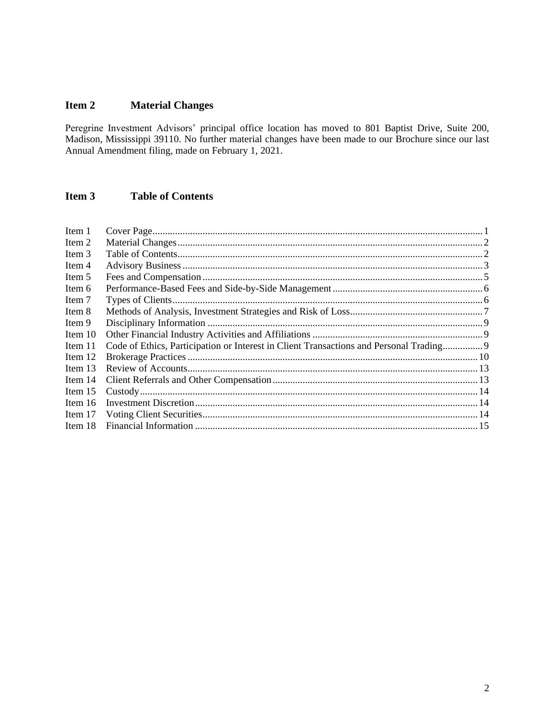# <span id="page-1-0"></span>**Item 2 Material Changes**

Peregrine Investment Advisors' principal office location has moved to 801 Baptist Drive, Suite 200, Madison, Mississippi 39110. No further material changes have been made to our Brochure since our last Annual Amendment filing, made on February 1, 2021.

# <span id="page-1-1"></span>**Item 3 Table of Contents**

<span id="page-1-2"></span>

| Item 1    |                                                                                         |  |
|-----------|-----------------------------------------------------------------------------------------|--|
| Item 2    |                                                                                         |  |
| Item 3    |                                                                                         |  |
| Item 4    |                                                                                         |  |
| Item 5    |                                                                                         |  |
| Item 6    |                                                                                         |  |
| Item 7    |                                                                                         |  |
| Item 8    |                                                                                         |  |
| Item 9    |                                                                                         |  |
| Item $10$ |                                                                                         |  |
| Item 11   | Code of Ethics, Participation or Interest in Client Transactions and Personal Trading 9 |  |
| Item 12   |                                                                                         |  |
| Item $13$ |                                                                                         |  |
| Item $14$ |                                                                                         |  |
| Item $15$ |                                                                                         |  |
| Item $16$ |                                                                                         |  |
| Item 17   |                                                                                         |  |
| Item 18   |                                                                                         |  |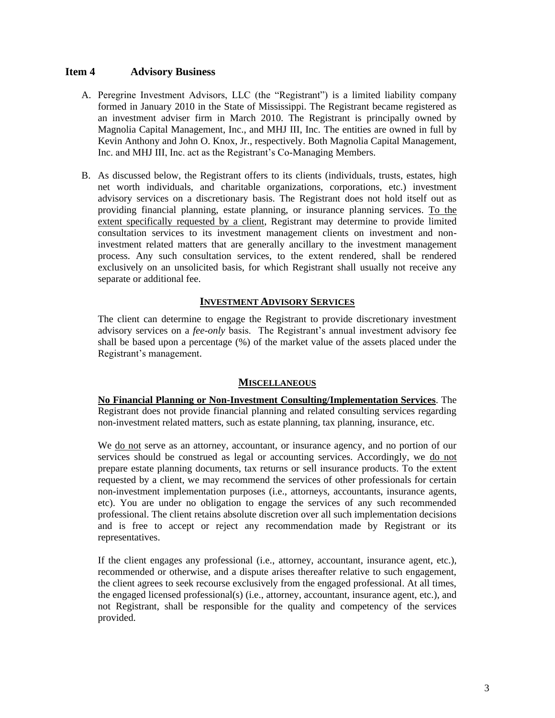#### **Item 4 Advisory Business**

- A. Peregrine Investment Advisors, LLC (the "Registrant") is a limited liability company formed in January 2010 in the State of Mississippi. The Registrant became registered as an investment adviser firm in March 2010. The Registrant is principally owned by Magnolia Capital Management, Inc., and MHJ III, Inc. The entities are owned in full by Kevin Anthony and John O. Knox, Jr., respectively. Both Magnolia Capital Management, Inc. and MHJ III, Inc. act as the Registrant's Co-Managing Members.
- B. As discussed below, the Registrant offers to its clients (individuals, trusts, estates, high net worth individuals, and charitable organizations, corporations, etc.) investment advisory services on a discretionary basis. The Registrant does not hold itself out as providing financial planning, estate planning, or insurance planning services. To the extent specifically requested by a client, Registrant may determine to provide limited consultation services to its investment management clients on investment and noninvestment related matters that are generally ancillary to the investment management process. Any such consultation services, to the extent rendered, shall be rendered exclusively on an unsolicited basis, for which Registrant shall usually not receive any separate or additional fee.

## **INVESTMENT ADVISORY SERVICES**

The client can determine to engage the Registrant to provide discretionary investment advisory services on a *fee-only* basis. The Registrant's annual investment advisory fee shall be based upon a percentage (%) of the market value of the assets placed under the Registrant's management.

#### **MISCELLANEOUS**

**No Financial Planning or Non-Investment Consulting/Implementation Services**. The Registrant does not provide financial planning and related consulting services regarding non-investment related matters, such as estate planning, tax planning, insurance, etc.

We do not serve as an attorney, accountant, or insurance agency, and no portion of our services should be construed as legal or accounting services. Accordingly, we do not prepare estate planning documents, tax returns or sell insurance products. To the extent requested by a client, we may recommend the services of other professionals for certain non-investment implementation purposes (i.e., attorneys, accountants, insurance agents, etc). You are under no obligation to engage the services of any such recommended professional. The client retains absolute discretion over all such implementation decisions and is free to accept or reject any recommendation made by Registrant or its representatives.

If the client engages any professional (i.e., attorney, accountant, insurance agent, etc.), recommended or otherwise, and a dispute arises thereafter relative to such engagement, the client agrees to seek recourse exclusively from the engaged professional. At all times, the engaged licensed professional(s) (i.e., attorney, accountant, insurance agent, etc.), and not Registrant, shall be responsible for the quality and competency of the services provided.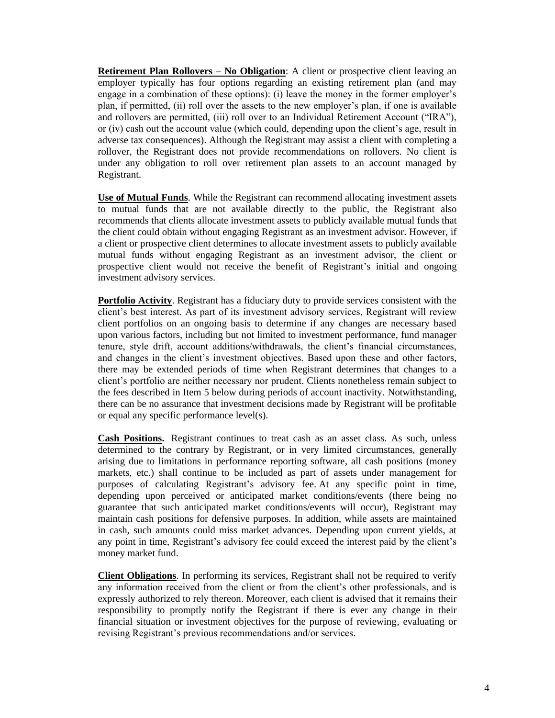**Retirement Plan Rollovers – No Obligation**: A client or prospective client leaving an employer typically has four options regarding an existing retirement plan (and may engage in a combination of these options): (i) leave the money in the former employer's plan, if permitted, (ii) roll over the assets to the new employer's plan, if one is available and rollovers are permitted, (iii) roll over to an Individual Retirement Account ("IRA"), or (iv) cash out the account value (which could, depending upon the client's age, result in adverse tax consequences). Although the Registrant may assist a client with completing a rollover, the Registrant does not provide recommendations on rollovers. No client is under any obligation to roll over retirement plan assets to an account managed by Registrant.

**Use of Mutual Funds**. While the Registrant can recommend allocating investment assets to mutual funds that are not available directly to the public, the Registrant also recommends that clients allocate investment assets to publicly available mutual funds that the client could obtain without engaging Registrant as an investment advisor. However, if a client or prospective client determines to allocate investment assets to publicly available mutual funds without engaging Registrant as an investment advisor, the client or prospective client would not receive the benefit of Registrant's initial and ongoing investment advisory services.

**Portfolio Activity**. Registrant has a fiduciary duty to provide services consistent with the client's best interest. As part of its investment advisory services, Registrant will review client portfolios on an ongoing basis to determine if any changes are necessary based upon various factors, including but not limited to investment performance, fund manager tenure, style drift, account additions/withdrawals, the client's financial circumstances, and changes in the client's investment objectives. Based upon these and other factors, there may be extended periods of time when Registrant determines that changes to a client's portfolio are neither necessary nor prudent. Clients nonetheless remain subject to the fees described in Item 5 below during periods of account inactivity. Notwithstanding, there can be no assurance that investment decisions made by Registrant will be profitable or equal any specific performance level(s).

**Cash Positions.** Registrant continues to treat cash as an asset class. As such, unless determined to the contrary by Registrant, or in very limited circumstances, generally arising due to limitations in performance reporting software, all cash positions (money markets, etc.) shall continue to be included as part of assets under management for purposes of calculating Registrant's advisory fee. At any specific point in time, depending upon perceived or anticipated market conditions/events (there being no guarantee that such anticipated market conditions/events will occur), Registrant may maintain cash positions for defensive purposes. In addition, while assets are maintained in cash, such amounts could miss market advances. Depending upon current yields, at any point in time, Registrant's advisory fee could exceed the interest paid by the client's money market fund.

**Client Obligations**. In performing its services, Registrant shall not be required to verify any information received from the client or from the client's other professionals, and is expressly authorized to rely thereon. Moreover, each client is advised that it remains their responsibility to promptly notify the Registrant if there is ever any change in their financial situation or investment objectives for the purpose of reviewing, evaluating or revising Registrant's previous recommendations and/or services.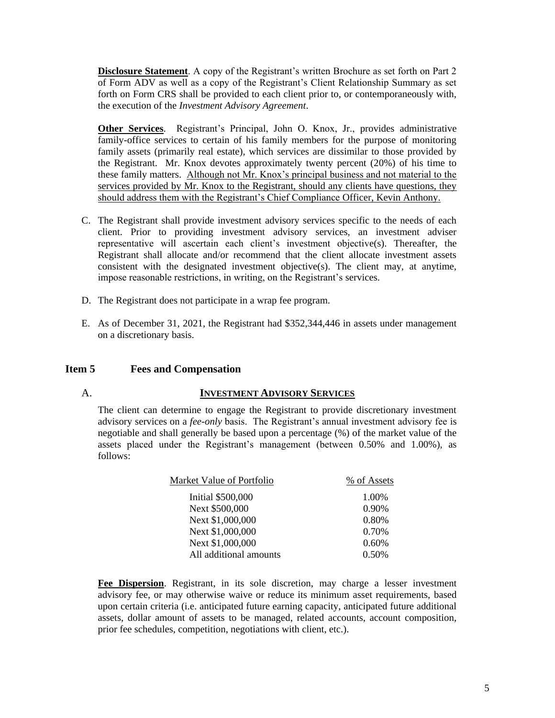**Disclosure Statement**. A copy of the Registrant's written Brochure as set forth on Part 2 of Form ADV as well as a copy of the Registrant's Client Relationship Summary as set forth on Form CRS shall be provided to each client prior to, or contemporaneously with, the execution of the *Investment Advisory Agreement*.

**Other Services**.Registrant's Principal, John O. Knox, Jr., provides administrative family-office services to certain of his family members for the purpose of monitoring family assets (primarily real estate), which services are dissimilar to those provided by the Registrant. Mr. Knox devotes approximately twenty percent (20%) of his time to these family matters. Although not Mr. Knox's principal business and not material to the services provided by Mr. Knox to the Registrant, should any clients have questions, they should address them with the Registrant's Chief Compliance Officer, Kevin Anthony.

- C. The Registrant shall provide investment advisory services specific to the needs of each client. Prior to providing investment advisory services, an investment adviser representative will ascertain each client's investment objective(s). Thereafter, the Registrant shall allocate and/or recommend that the client allocate investment assets consistent with the designated investment objective(s). The client may, at anytime, impose reasonable restrictions, in writing, on the Registrant's services.
- D. The Registrant does not participate in a wrap fee program.
- E. As of December 31, 2021, the Registrant had \$352,344,446 in assets under management on a discretionary basis.

#### <span id="page-4-0"></span>**Item 5 Fees and Compensation**

#### A. **INVESTMENT ADVISORY SERVICES**

The client can determine to engage the Registrant to provide discretionary investment advisory services on a *fee-only* basis. The Registrant's annual investment advisory fee is negotiable and shall generally be based upon a percentage (%) of the market value of the assets placed under the Registrant's management (between 0.50% and 1.00%), as follows:

| Market Value of Portfolio | % of Assets |
|---------------------------|-------------|
| Initial \$500,000         | 1.00%       |
| Next \$500,000            | 0.90%       |
| Next \$1,000,000          | 0.80%       |
| Next \$1,000,000          | 0.70%       |
| Next \$1,000,000          | 0.60%       |
| All additional amounts    | 0.50%       |

**Fee Dispersion**. Registrant, in its sole discretion, may charge a lesser investment advisory fee, or may otherwise waive or reduce its minimum asset requirements, based upon certain criteria (i.e. anticipated future earning capacity, anticipated future additional assets, dollar amount of assets to be managed, related accounts, account composition, prior fee schedules, competition, negotiations with client, etc.).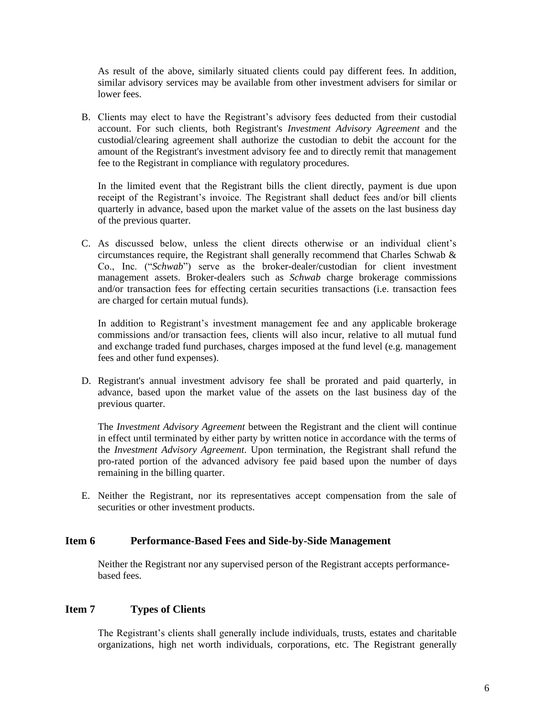As result of the above, similarly situated clients could pay different fees. In addition, similar advisory services may be available from other investment advisers for similar or lower fees.

B. Clients may elect to have the Registrant's advisory fees deducted from their custodial account. For such clients, both Registrant's *Investment Advisory Agreement* and the custodial/clearing agreement shall authorize the custodian to debit the account for the amount of the Registrant's investment advisory fee and to directly remit that management fee to the Registrant in compliance with regulatory procedures.

In the limited event that the Registrant bills the client directly, payment is due upon receipt of the Registrant's invoice. The Registrant shall deduct fees and/or bill clients quarterly in advance, based upon the market value of the assets on the last business day of the previous quarter.

C. As discussed below, unless the client directs otherwise or an individual client's circumstances require, the Registrant shall generally recommend that Charles Schwab  $\&$ Co., Inc. ("*Schwab*") serve as the broker-dealer/custodian for client investment management assets. Broker-dealers such as *Schwab* charge brokerage commissions and/or transaction fees for effecting certain securities transactions (i.e. transaction fees are charged for certain mutual funds).

In addition to Registrant's investment management fee and any applicable brokerage commissions and/or transaction fees, clients will also incur, relative to all mutual fund and exchange traded fund purchases, charges imposed at the fund level (e.g. management fees and other fund expenses).

D. Registrant's annual investment advisory fee shall be prorated and paid quarterly, in advance, based upon the market value of the assets on the last business day of the previous quarter.

The *Investment Advisory Agreement* between the Registrant and the client will continue in effect until terminated by either party by written notice in accordance with the terms of the *Investment Advisory Agreement*. Upon termination, the Registrant shall refund the pro-rated portion of the advanced advisory fee paid based upon the number of days remaining in the billing quarter.

E. Neither the Registrant, nor its representatives accept compensation from the sale of securities or other investment products.

#### <span id="page-5-0"></span>**Item 6 Performance-Based Fees and Side-by-Side Management**

Neither the Registrant nor any supervised person of the Registrant accepts performancebased fees.

#### <span id="page-5-1"></span>**Item 7 Types of Clients**

The Registrant's clients shall generally include individuals, trusts, estates and charitable organizations, high net worth individuals, corporations, etc. The Registrant generally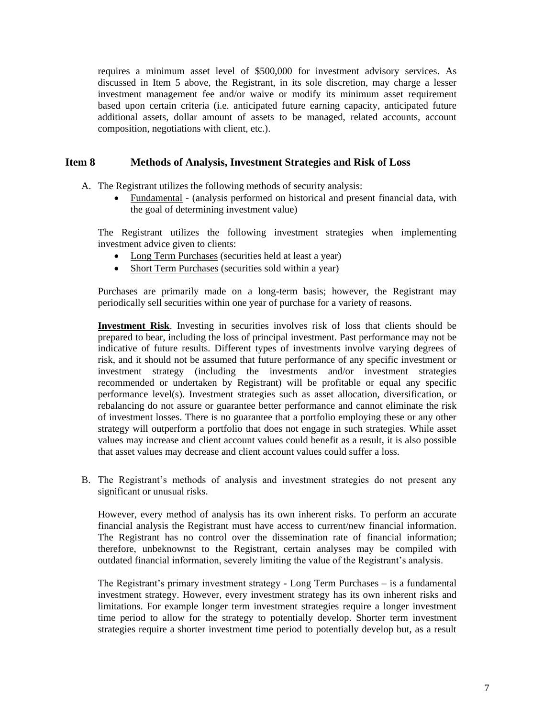requires a minimum asset level of \$500,000 for investment advisory services. As discussed in Item 5 above, the Registrant, in its sole discretion, may charge a lesser investment management fee and/or waive or modify its minimum asset requirement based upon certain criteria (i.e. anticipated future earning capacity, anticipated future additional assets, dollar amount of assets to be managed, related accounts, account composition, negotiations with client, etc.).

#### <span id="page-6-0"></span>**Item 8 Methods of Analysis, Investment Strategies and Risk of Loss**

A. The Registrant utilizes the following methods of security analysis:

• Fundamental - (analysis performed on historical and present financial data, with the goal of determining investment value)

The Registrant utilizes the following investment strategies when implementing investment advice given to clients:

- Long Term Purchases (securities held at least a year)
- Short Term Purchases (securities sold within a year)

Purchases are primarily made on a long-term basis; however, the Registrant may periodically sell securities within one year of purchase for a variety of reasons.

**Investment Risk**. Investing in securities involves risk of loss that clients should be prepared to bear, including the loss of principal investment. Past performance may not be indicative of future results. Different types of investments involve varying degrees of risk, and it should not be assumed that future performance of any specific investment or investment strategy (including the investments and/or investment strategies recommended or undertaken by Registrant) will be profitable or equal any specific performance level(s). Investment strategies such as asset allocation, diversification, or rebalancing do not assure or guarantee better performance and cannot eliminate the risk of investment losses. There is no guarantee that a portfolio employing these or any other strategy will outperform a portfolio that does not engage in such strategies. While asset values may increase and client account values could benefit as a result, it is also possible that asset values may decrease and client account values could suffer a loss.

B. The Registrant's methods of analysis and investment strategies do not present any significant or unusual risks.

However, every method of analysis has its own inherent risks. To perform an accurate financial analysis the Registrant must have access to current/new financial information. The Registrant has no control over the dissemination rate of financial information; therefore, unbeknownst to the Registrant, certain analyses may be compiled with outdated financial information, severely limiting the value of the Registrant's analysis.

The Registrant's primary investment strategy - Long Term Purchases – is a fundamental investment strategy. However, every investment strategy has its own inherent risks and limitations. For example longer term investment strategies require a longer investment time period to allow for the strategy to potentially develop. Shorter term investment strategies require a shorter investment time period to potentially develop but, as a result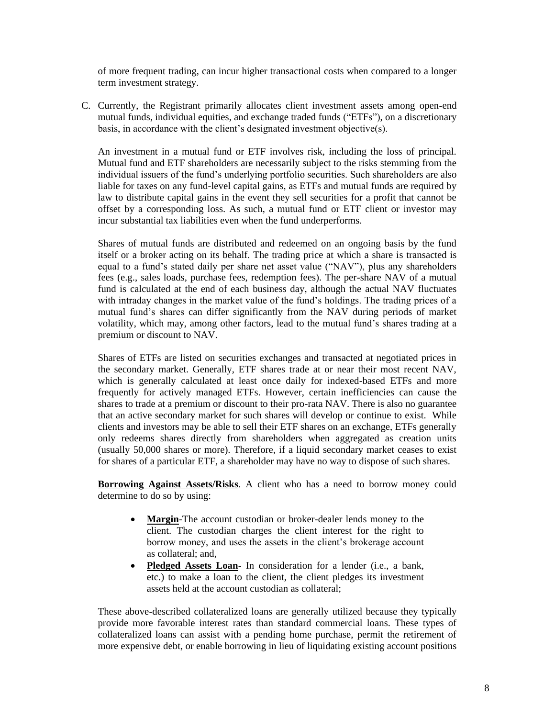of more frequent trading, can incur higher transactional costs when compared to a longer term investment strategy.

C. Currently, the Registrant primarily allocates client investment assets among open-end mutual funds, individual equities, and exchange traded funds ("ETFs"), on a discretionary basis, in accordance with the client's designated investment objective(s).

An investment in a mutual fund or ETF involves risk, including the loss of principal. Mutual fund and ETF shareholders are necessarily subject to the risks stemming from the individual issuers of the fund's underlying portfolio securities. Such shareholders are also liable for taxes on any fund-level capital gains, as ETFs and mutual funds are required by law to distribute capital gains in the event they sell securities for a profit that cannot be offset by a corresponding loss. As such, a mutual fund or ETF client or investor may incur substantial tax liabilities even when the fund underperforms.

Shares of mutual funds are distributed and redeemed on an ongoing basis by the fund itself or a broker acting on its behalf. The trading price at which a share is transacted is equal to a fund's stated daily per share net asset value ("NAV"), plus any shareholders fees (e.g., sales loads, purchase fees, redemption fees). The per-share NAV of a mutual fund is calculated at the end of each business day, although the actual NAV fluctuates with intraday changes in the market value of the fund's holdings. The trading prices of a mutual fund's shares can differ significantly from the NAV during periods of market volatility, which may, among other factors, lead to the mutual fund's shares trading at a premium or discount to NAV.

Shares of ETFs are listed on securities exchanges and transacted at negotiated prices in the secondary market. Generally, ETF shares trade at or near their most recent NAV, which is generally calculated at least once daily for indexed-based ETFs and more frequently for actively managed ETFs. However, certain inefficiencies can cause the shares to trade at a premium or discount to their pro-rata NAV. There is also no guarantee that an active secondary market for such shares will develop or continue to exist. While clients and investors may be able to sell their ETF shares on an exchange, ETFs generally only redeems shares directly from shareholders when aggregated as creation units (usually 50,000 shares or more). Therefore, if a liquid secondary market ceases to exist for shares of a particular ETF, a shareholder may have no way to dispose of such shares.

**Borrowing Against Assets/Risks**. A client who has a need to borrow money could determine to do so by using:

- **Margin**-The account custodian or broker-dealer lends money to the client. The custodian charges the client interest for the right to borrow money, and uses the assets in the client's brokerage account as collateral; and,
- **Pledged Assets Loan** In consideration for a lender (i.e., a bank, etc.) to make a loan to the client, the client pledges its investment assets held at the account custodian as collateral;

These above-described collateralized loans are generally utilized because they typically provide more favorable interest rates than standard commercial loans. These types of collateralized loans can assist with a pending home purchase, permit the retirement of more expensive debt, or enable borrowing in lieu of liquidating existing account positions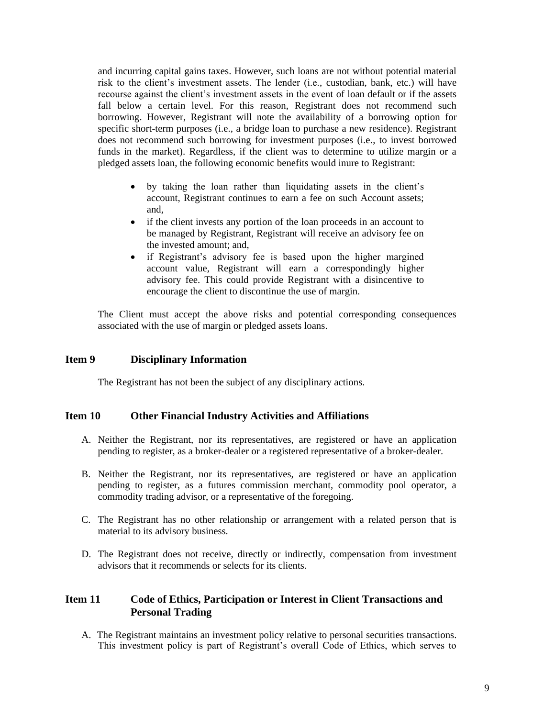and incurring capital gains taxes. However, such loans are not without potential material risk to the client's investment assets. The lender (i.e., custodian, bank, etc.) will have recourse against the client's investment assets in the event of loan default or if the assets fall below a certain level. For this reason, Registrant does not recommend such borrowing. However, Registrant will note the availability of a borrowing option for specific short-term purposes (i.e., a bridge loan to purchase a new residence). Registrant does not recommend such borrowing for investment purposes (i.e., to invest borrowed funds in the market). Regardless, if the client was to determine to utilize margin or a pledged assets loan, the following economic benefits would inure to Registrant:

- by taking the loan rather than liquidating assets in the client's account, Registrant continues to earn a fee on such Account assets; and,
- if the client invests any portion of the loan proceeds in an account to be managed by Registrant, Registrant will receive an advisory fee on the invested amount; and,
- if Registrant's advisory fee is based upon the higher margined account value, Registrant will earn a correspondingly higher advisory fee. This could provide Registrant with a disincentive to encourage the client to discontinue the use of margin.

The Client must accept the above risks and potential corresponding consequences associated with the use of margin or pledged assets loans.

#### <span id="page-8-0"></span>**Item 9 Disciplinary Information**

The Registrant has not been the subject of any disciplinary actions.

#### <span id="page-8-1"></span>**Item 10 Other Financial Industry Activities and Affiliations**

- A. Neither the Registrant, nor its representatives, are registered or have an application pending to register, as a broker-dealer or a registered representative of a broker-dealer.
- B. Neither the Registrant, nor its representatives, are registered or have an application pending to register, as a futures commission merchant, commodity pool operator, a commodity trading advisor, or a representative of the foregoing.
- C. The Registrant has no other relationship or arrangement with a related person that is material to its advisory business.
- D. The Registrant does not receive, directly or indirectly, compensation from investment advisors that it recommends or selects for its clients.

#### <span id="page-8-2"></span>**Item 11 Code of Ethics, Participation or Interest in Client Transactions and Personal Trading**

A. The Registrant maintains an investment policy relative to personal securities transactions. This investment policy is part of Registrant's overall Code of Ethics, which serves to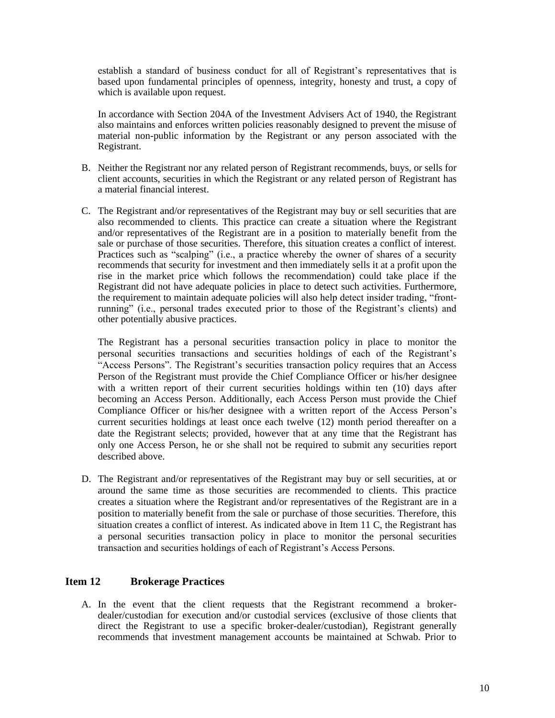establish a standard of business conduct for all of Registrant's representatives that is based upon fundamental principles of openness, integrity, honesty and trust, a copy of which is available upon request.

In accordance with Section 204A of the Investment Advisers Act of 1940, the Registrant also maintains and enforces written policies reasonably designed to prevent the misuse of material non-public information by the Registrant or any person associated with the Registrant.

- B. Neither the Registrant nor any related person of Registrant recommends, buys, or sells for client accounts, securities in which the Registrant or any related person of Registrant has a material financial interest.
- C. The Registrant and/or representatives of the Registrant may buy or sell securities that are also recommended to clients. This practice can create a situation where the Registrant and/or representatives of the Registrant are in a position to materially benefit from the sale or purchase of those securities. Therefore, this situation creates a conflict of interest. Practices such as "scalping" (i.e., a practice whereby the owner of shares of a security recommends that security for investment and then immediately sells it at a profit upon the rise in the market price which follows the recommendation) could take place if the Registrant did not have adequate policies in place to detect such activities. Furthermore, the requirement to maintain adequate policies will also help detect insider trading, "frontrunning" (i.e., personal trades executed prior to those of the Registrant's clients) and other potentially abusive practices.

The Registrant has a personal securities transaction policy in place to monitor the personal securities transactions and securities holdings of each of the Registrant's "Access Persons". The Registrant's securities transaction policy requires that an Access Person of the Registrant must provide the Chief Compliance Officer or his/her designee with a written report of their current securities holdings within ten (10) days after becoming an Access Person. Additionally, each Access Person must provide the Chief Compliance Officer or his/her designee with a written report of the Access Person's current securities holdings at least once each twelve (12) month period thereafter on a date the Registrant selects; provided, however that at any time that the Registrant has only one Access Person, he or she shall not be required to submit any securities report described above.

D. The Registrant and/or representatives of the Registrant may buy or sell securities, at or around the same time as those securities are recommended to clients. This practice creates a situation where the Registrant and/or representatives of the Registrant are in a position to materially benefit from the sale or purchase of those securities. Therefore, this situation creates a conflict of interest. As indicated above in Item 11 C, the Registrant has a personal securities transaction policy in place to monitor the personal securities transaction and securities holdings of each of Registrant's Access Persons.

#### <span id="page-9-0"></span>**Item 12 Brokerage Practices**

A. In the event that the client requests that the Registrant recommend a brokerdealer/custodian for execution and/or custodial services (exclusive of those clients that direct the Registrant to use a specific broker-dealer/custodian), Registrant generally recommends that investment management accounts be maintained at Schwab. Prior to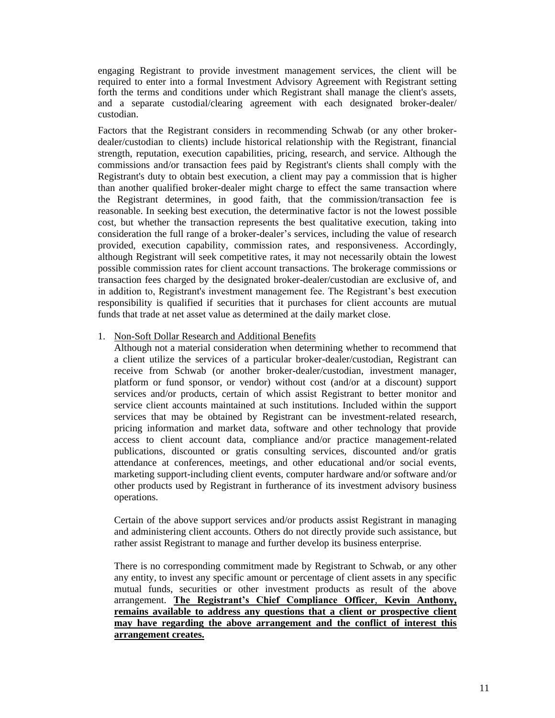engaging Registrant to provide investment management services, the client will be required to enter into a formal Investment Advisory Agreement with Registrant setting forth the terms and conditions under which Registrant shall manage the client's assets, and a separate custodial/clearing agreement with each designated broker-dealer/ custodian.

Factors that the Registrant considers in recommending Schwab (or any other brokerdealer/custodian to clients) include historical relationship with the Registrant, financial strength, reputation, execution capabilities, pricing, research, and service. Although the commissions and/or transaction fees paid by Registrant's clients shall comply with the Registrant's duty to obtain best execution, a client may pay a commission that is higher than another qualified broker-dealer might charge to effect the same transaction where the Registrant determines, in good faith, that the commission/transaction fee is reasonable. In seeking best execution, the determinative factor is not the lowest possible cost, but whether the transaction represents the best qualitative execution, taking into consideration the full range of a broker-dealer's services, including the value of research provided, execution capability, commission rates, and responsiveness. Accordingly, although Registrant will seek competitive rates, it may not necessarily obtain the lowest possible commission rates for client account transactions. The brokerage commissions or transaction fees charged by the designated broker-dealer/custodian are exclusive of, and in addition to, Registrant's investment management fee. The Registrant's best execution responsibility is qualified if securities that it purchases for client accounts are mutual funds that trade at net asset value as determined at the daily market close.

#### 1. Non-Soft Dollar Research and Additional Benefits

Although not a material consideration when determining whether to recommend that a client utilize the services of a particular broker-dealer/custodian, Registrant can receive from Schwab (or another broker-dealer/custodian, investment manager, platform or fund sponsor, or vendor) without cost (and/or at a discount) support services and/or products, certain of which assist Registrant to better monitor and service client accounts maintained at such institutions. Included within the support services that may be obtained by Registrant can be investment-related research, pricing information and market data, software and other technology that provide access to client account data, compliance and/or practice management-related publications, discounted or gratis consulting services, discounted and/or gratis attendance at conferences, meetings, and other educational and/or social events, marketing support-including client events, computer hardware and/or software and/or other products used by Registrant in furtherance of its investment advisory business operations.

Certain of the above support services and/or products assist Registrant in managing and administering client accounts. Others do not directly provide such assistance, but rather assist Registrant to manage and further develop its business enterprise.

There is no corresponding commitment made by Registrant to Schwab, or any other any entity, to invest any specific amount or percentage of client assets in any specific mutual funds, securities or other investment products as result of the above arrangement. **The Registrant's Chief Compliance Officer**, **Kevin Anthony, remains available to address any questions that a client or prospective client may have regarding the above arrangement and the conflict of interest this arrangement creates.**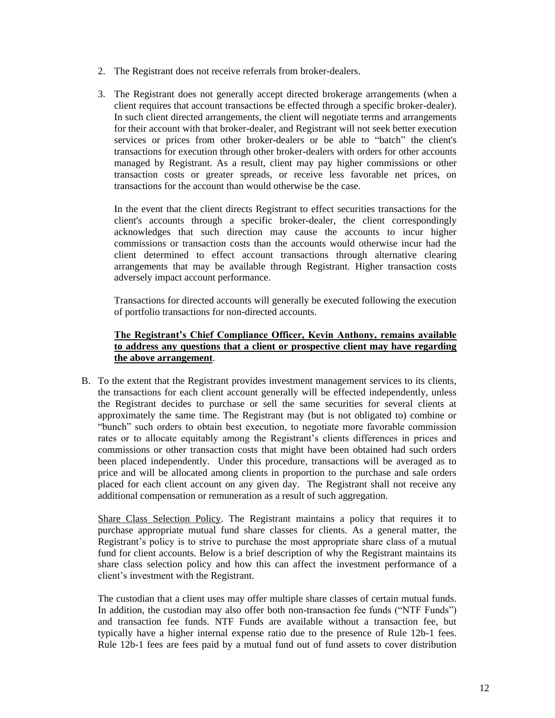- 2. The Registrant does not receive referrals from broker-dealers.
- 3. The Registrant does not generally accept directed brokerage arrangements (when a client requires that account transactions be effected through a specific broker-dealer). In such client directed arrangements, the client will negotiate terms and arrangements for their account with that broker-dealer, and Registrant will not seek better execution services or prices from other broker-dealers or be able to "batch" the client's transactions for execution through other broker-dealers with orders for other accounts managed by Registrant. As a result, client may pay higher commissions or other transaction costs or greater spreads, or receive less favorable net prices, on transactions for the account than would otherwise be the case.

In the event that the client directs Registrant to effect securities transactions for the client's accounts through a specific broker-dealer, the client correspondingly acknowledges that such direction may cause the accounts to incur higher commissions or transaction costs than the accounts would otherwise incur had the client determined to effect account transactions through alternative clearing arrangements that may be available through Registrant. Higher transaction costs adversely impact account performance.

Transactions for directed accounts will generally be executed following the execution of portfolio transactions for non-directed accounts.

#### **The Registrant's Chief Compliance Officer, Kevin Anthony, remains available to address any questions that a client or prospective client may have regarding the above arrangement**.

B. To the extent that the Registrant provides investment management services to its clients, the transactions for each client account generally will be effected independently, unless the Registrant decides to purchase or sell the same securities for several clients at approximately the same time. The Registrant may (but is not obligated to) combine or "bunch" such orders to obtain best execution, to negotiate more favorable commission rates or to allocate equitably among the Registrant's clients differences in prices and commissions or other transaction costs that might have been obtained had such orders been placed independently. Under this procedure, transactions will be averaged as to price and will be allocated among clients in proportion to the purchase and sale orders placed for each client account on any given day. The Registrant shall not receive any additional compensation or remuneration as a result of such aggregation.

Share Class Selection Policy. The Registrant maintains a policy that requires it to purchase appropriate mutual fund share classes for clients. As a general matter, the Registrant's policy is to strive to purchase the most appropriate share class of a mutual fund for client accounts. Below is a brief description of why the Registrant maintains its share class selection policy and how this can affect the investment performance of a client's investment with the Registrant.

The custodian that a client uses may offer multiple share classes of certain mutual funds. In addition, the custodian may also offer both non-transaction fee funds ("NTF Funds") and transaction fee funds. NTF Funds are available without a transaction fee, but typically have a higher internal expense ratio due to the presence of Rule 12b-1 fees. Rule 12b-1 fees are fees paid by a mutual fund out of fund assets to cover distribution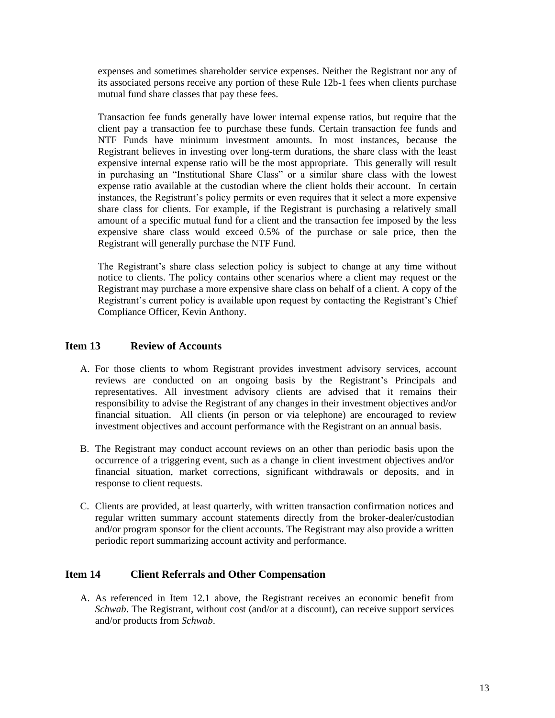expenses and sometimes shareholder service expenses. Neither the Registrant nor any of its associated persons receive any portion of these Rule 12b-1 fees when clients purchase mutual fund share classes that pay these fees.

Transaction fee funds generally have lower internal expense ratios, but require that the client pay a transaction fee to purchase these funds. Certain transaction fee funds and NTF Funds have minimum investment amounts. In most instances, because the Registrant believes in investing over long-term durations, the share class with the least expensive internal expense ratio will be the most appropriate. This generally will result in purchasing an "Institutional Share Class" or a similar share class with the lowest expense ratio available at the custodian where the client holds their account. In certain instances, the Registrant's policy permits or even requires that it select a more expensive share class for clients. For example, if the Registrant is purchasing a relatively small amount of a specific mutual fund for a client and the transaction fee imposed by the less expensive share class would exceed 0.5% of the purchase or sale price, then the Registrant will generally purchase the NTF Fund.

The Registrant's share class selection policy is subject to change at any time without notice to clients. The policy contains other scenarios where a client may request or the Registrant may purchase a more expensive share class on behalf of a client. A copy of the Registrant's current policy is available upon request by contacting the Registrant's Chief Compliance Officer, Kevin Anthony.

# <span id="page-12-0"></span>**Item 13 Review of Accounts**

- A. For those clients to whom Registrant provides investment advisory services, account reviews are conducted on an ongoing basis by the Registrant's Principals and representatives. All investment advisory clients are advised that it remains their responsibility to advise the Registrant of any changes in their investment objectives and/or financial situation. All clients (in person or via telephone) are encouraged to review investment objectives and account performance with the Registrant on an annual basis.
- B. The Registrant may conduct account reviews on an other than periodic basis upon the occurrence of a triggering event, such as a change in client investment objectives and/or financial situation, market corrections, significant withdrawals or deposits, and in response to client requests.
- C. Clients are provided, at least quarterly, with written transaction confirmation notices and regular written summary account statements directly from the broker-dealer/custodian and/or program sponsor for the client accounts. The Registrant may also provide a written periodic report summarizing account activity and performance.

### <span id="page-12-1"></span>**Item 14 Client Referrals and Other Compensation**

A. As referenced in Item 12.1 above, the Registrant receives an economic benefit from *Schwab*. The Registrant, without cost (and/or at a discount), can receive support services and/or products from *Schwab*.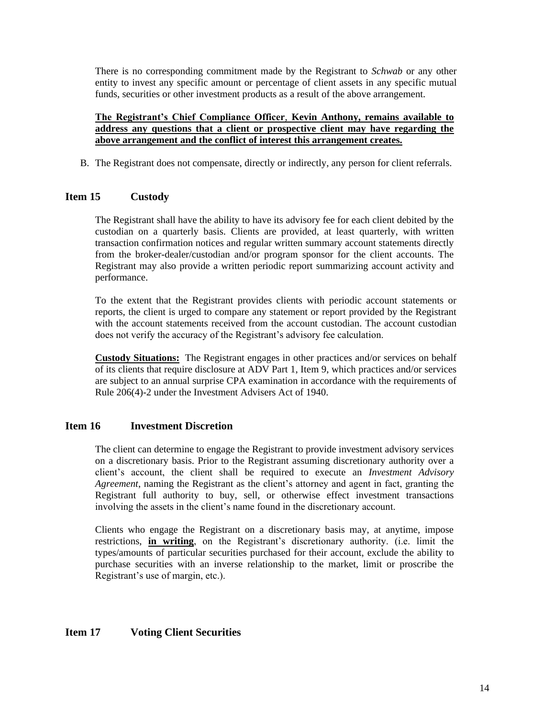There is no corresponding commitment made by the Registrant to *Schwab* or any other entity to invest any specific amount or percentage of client assets in any specific mutual funds, securities or other investment products as a result of the above arrangement.

#### **The Registrant's Chief Compliance Officer**, **Kevin Anthony, remains available to address any questions that a client or prospective client may have regarding the above arrangement and the conflict of interest this arrangement creates.**

<span id="page-13-0"></span>B. The Registrant does not compensate, directly or indirectly, any person for client referrals.

# **Item 15 Custody**

The Registrant shall have the ability to have its advisory fee for each client debited by the custodian on a quarterly basis. Clients are provided, at least quarterly, with written transaction confirmation notices and regular written summary account statements directly from the broker-dealer/custodian and/or program sponsor for the client accounts. The Registrant may also provide a written periodic report summarizing account activity and performance.

To the extent that the Registrant provides clients with periodic account statements or reports, the client is urged to compare any statement or report provided by the Registrant with the account statements received from the account custodian. The account custodian does not verify the accuracy of the Registrant's advisory fee calculation.

**Custody Situations:** The Registrant engages in other practices and/or services on behalf of its clients that require disclosure at ADV Part 1, Item 9, which practices and/or services are subject to an annual surprise CPA examination in accordance with the requirements of Rule 206(4)-2 under the Investment Advisers Act of 1940.

# <span id="page-13-1"></span>**Item 16 Investment Discretion**

The client can determine to engage the Registrant to provide investment advisory services on a discretionary basis. Prior to the Registrant assuming discretionary authority over a client's account, the client shall be required to execute an *Investment Advisory Agreement*, naming the Registrant as the client's attorney and agent in fact, granting the Registrant full authority to buy, sell, or otherwise effect investment transactions involving the assets in the client's name found in the discretionary account.

Clients who engage the Registrant on a discretionary basis may, at anytime, impose restrictions, **in writing**, on the Registrant's discretionary authority. (i.e. limit the types/amounts of particular securities purchased for their account, exclude the ability to purchase securities with an inverse relationship to the market, limit or proscribe the Registrant's use of margin, etc.).

# <span id="page-13-2"></span>**Item 17 Voting Client Securities**